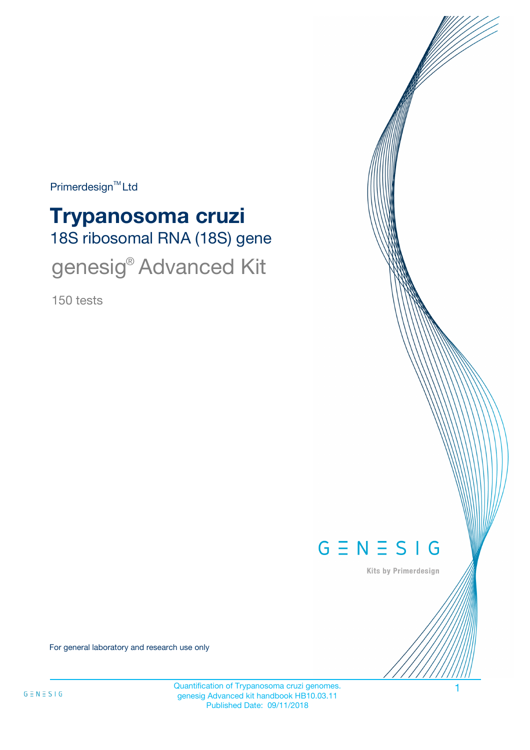Primerdesign<sup>™</sup>Ltd

# 18S ribosomal RNA (18S) gene **Trypanosoma cruzi** genesig® Advanced Kit

150 tests



Kits by Primerdesign

For general laboratory and research use only

Quantification of Trypanosoma cruzi genomes. genesig Advanced kit handbook HB10.03.11 Published Date: 09/11/2018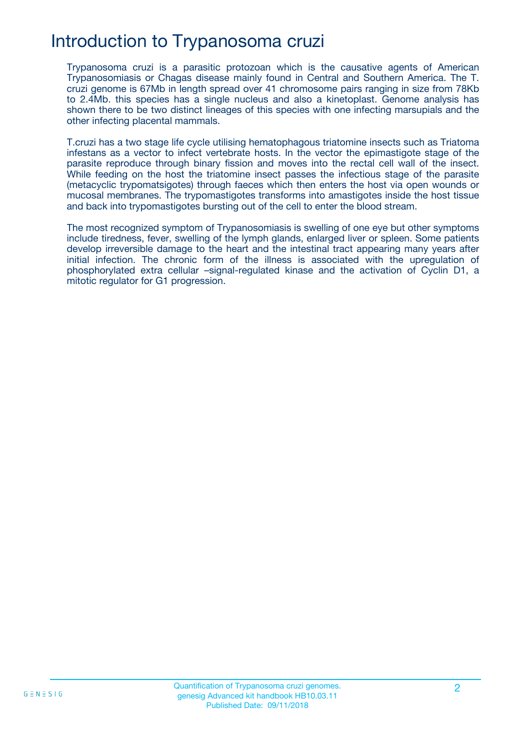### Introduction to Trypanosoma cruzi

Trypanosoma cruzi is a parasitic protozoan which is the causative agents of American Trypanosomiasis or Chagas disease mainly found in Central and Southern America. The T. cruzi genome is 67Mb in length spread over 41 chromosome pairs ranging in size from 78Kb to 2.4Mb. this species has a single nucleus and also a kinetoplast. Genome analysis has shown there to be two distinct lineages of this species with one infecting marsupials and the other infecting placental mammals.

T.cruzi has a two stage life cycle utilising hematophagous triatomine insects such as Triatoma infestans as a vector to infect vertebrate hosts. In the vector the epimastigote stage of the parasite reproduce through binary fission and moves into the rectal cell wall of the insect. While feeding on the host the triatomine insect passes the infectious stage of the parasite (metacyclic trypomatsigotes) through faeces which then enters the host via open wounds or mucosal membranes. The trypomastigotes transforms into amastigotes inside the host tissue and back into trypomastigotes bursting out of the cell to enter the blood stream.

The most recognized symptom of Trypanosomiasis is swelling of one eye but other symptoms include tiredness, fever, swelling of the lymph glands, enlarged liver or spleen. Some patients develop irreversible damage to the heart and the intestinal tract appearing many years after initial infection. The chronic form of the illness is associated with the upregulation of phosphorylated extra cellular –signal-regulated kinase and the activation of Cyclin D1, a mitotic regulator for G1 progression.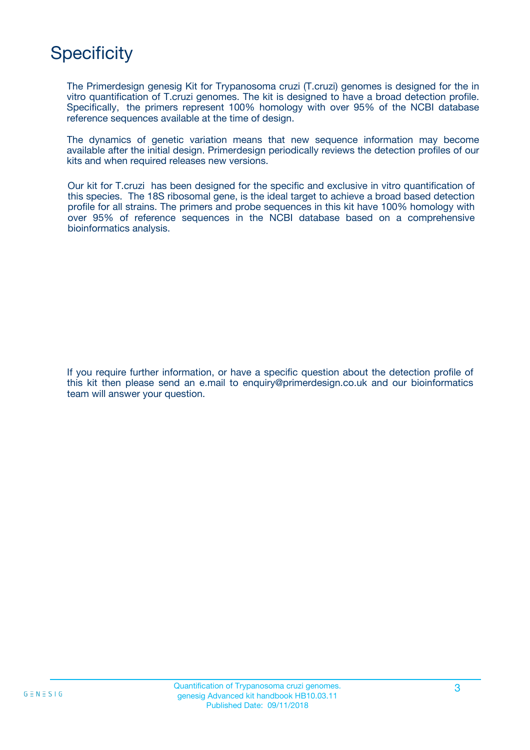## **Specificity**

The Primerdesign genesig Kit for Trypanosoma cruzi (T.cruzi) genomes is designed for the in vitro quantification of T.cruzi genomes. The kit is designed to have a broad detection profile. Specifically, the primers represent 100% homology with over 95% of the NCBI database reference sequences available at the time of design.

The dynamics of genetic variation means that new sequence information may become available after the initial design. Primerdesign periodically reviews the detection profiles of our kits and when required releases new versions.

Our kit for T.cruzi has been designed for the specific and exclusive in vitro quantification of this species. The 18S ribosomal gene, is the ideal target to achieve a broad based detection profile for all strains. The primers and probe sequences in this kit have 100% homology with over 95% of reference sequences in the NCBI database based on a comprehensive bioinformatics analysis.

If you require further information, or have a specific question about the detection profile of this kit then please send an e.mail to enquiry@primerdesign.co.uk and our bioinformatics team will answer your question.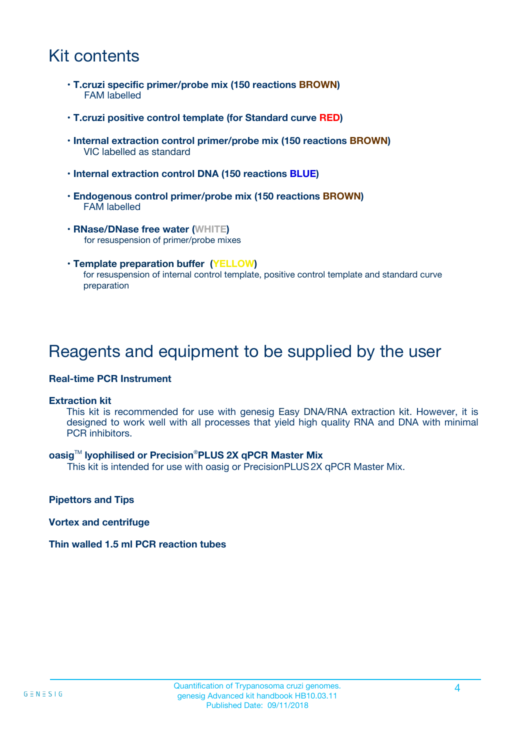## Kit contents

- **T.cruzi specific primer/probe mix (150 reactions BROWN)** FAM labelled
- **T.cruzi positive control template (for Standard curve RED)**
- **Internal extraction control primer/probe mix (150 reactions BROWN)** VIC labelled as standard
- **Internal extraction control DNA (150 reactions BLUE)**
- **Endogenous control primer/probe mix (150 reactions BROWN)** FAM labelled
- **RNase/DNase free water (WHITE)** for resuspension of primer/probe mixes
- **Template preparation buffer (YELLOW)** for resuspension of internal control template, positive control template and standard curve preparation

### Reagents and equipment to be supplied by the user

#### **Real-time PCR Instrument**

#### **Extraction kit**

This kit is recommended for use with genesig Easy DNA/RNA extraction kit. However, it is designed to work well with all processes that yield high quality RNA and DNA with minimal PCR inhibitors.

#### **oasig**TM **lyophilised or Precision**®**PLUS 2X qPCR Master Mix**

This kit is intended for use with oasig or PrecisionPLUS2X qPCR Master Mix.

**Pipettors and Tips**

**Vortex and centrifuge**

#### **Thin walled 1.5 ml PCR reaction tubes**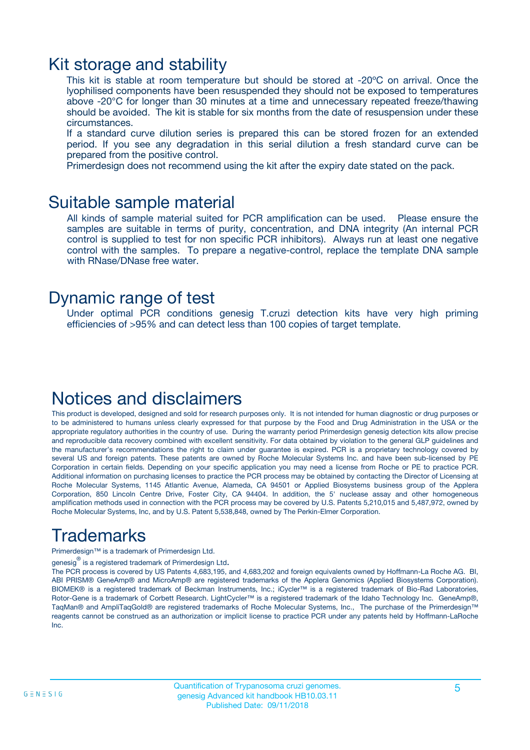### Kit storage and stability

This kit is stable at room temperature but should be stored at -20ºC on arrival. Once the lyophilised components have been resuspended they should not be exposed to temperatures above -20°C for longer than 30 minutes at a time and unnecessary repeated freeze/thawing should be avoided. The kit is stable for six months from the date of resuspension under these circumstances.

If a standard curve dilution series is prepared this can be stored frozen for an extended period. If you see any degradation in this serial dilution a fresh standard curve can be prepared from the positive control.

Primerdesign does not recommend using the kit after the expiry date stated on the pack.

### Suitable sample material

All kinds of sample material suited for PCR amplification can be used. Please ensure the samples are suitable in terms of purity, concentration, and DNA integrity (An internal PCR control is supplied to test for non specific PCR inhibitors). Always run at least one negative control with the samples. To prepare a negative-control, replace the template DNA sample with RNase/DNase free water.

### Dynamic range of test

Under optimal PCR conditions genesig T.cruzi detection kits have very high priming efficiencies of >95% and can detect less than 100 copies of target template.

## Notices and disclaimers

This product is developed, designed and sold for research purposes only. It is not intended for human diagnostic or drug purposes or to be administered to humans unless clearly expressed for that purpose by the Food and Drug Administration in the USA or the appropriate regulatory authorities in the country of use. During the warranty period Primerdesign genesig detection kits allow precise and reproducible data recovery combined with excellent sensitivity. For data obtained by violation to the general GLP guidelines and the manufacturer's recommendations the right to claim under guarantee is expired. PCR is a proprietary technology covered by several US and foreign patents. These patents are owned by Roche Molecular Systems Inc. and have been sub-licensed by PE Corporation in certain fields. Depending on your specific application you may need a license from Roche or PE to practice PCR. Additional information on purchasing licenses to practice the PCR process may be obtained by contacting the Director of Licensing at Roche Molecular Systems, 1145 Atlantic Avenue, Alameda, CA 94501 or Applied Biosystems business group of the Applera Corporation, 850 Lincoln Centre Drive, Foster City, CA 94404. In addition, the 5' nuclease assay and other homogeneous amplification methods used in connection with the PCR process may be covered by U.S. Patents 5,210,015 and 5,487,972, owned by Roche Molecular Systems, Inc, and by U.S. Patent 5,538,848, owned by The Perkin-Elmer Corporation.

## Trademarks

Primerdesign™ is a trademark of Primerdesign Ltd.

genesig $^\circledR$  is a registered trademark of Primerdesign Ltd.

The PCR process is covered by US Patents 4,683,195, and 4,683,202 and foreign equivalents owned by Hoffmann-La Roche AG. BI, ABI PRISM® GeneAmp® and MicroAmp® are registered trademarks of the Applera Genomics (Applied Biosystems Corporation). BIOMEK® is a registered trademark of Beckman Instruments, Inc.; iCycler™ is a registered trademark of Bio-Rad Laboratories, Rotor-Gene is a trademark of Corbett Research. LightCycler™ is a registered trademark of the Idaho Technology Inc. GeneAmp®, TaqMan® and AmpliTaqGold® are registered trademarks of Roche Molecular Systems, Inc., The purchase of the Primerdesign™ reagents cannot be construed as an authorization or implicit license to practice PCR under any patents held by Hoffmann-LaRoche Inc.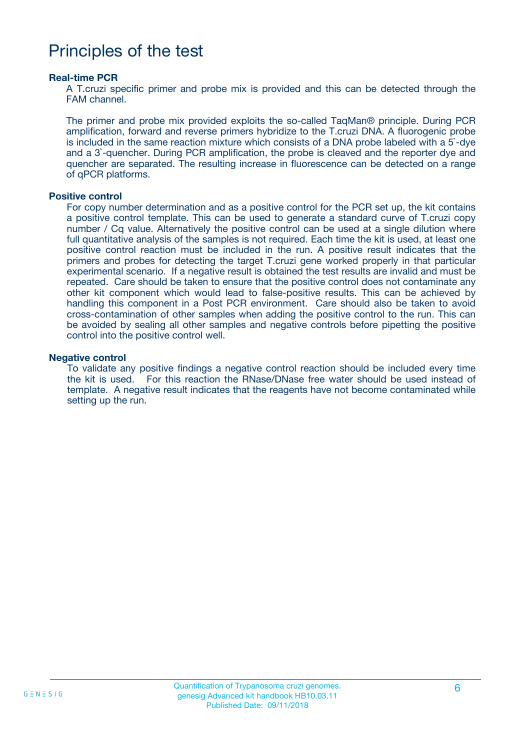### Principles of the test

#### **Real-time PCR**

A T.cruzi specific primer and probe mix is provided and this can be detected through the FAM channel.

The primer and probe mix provided exploits the so-called TaqMan® principle. During PCR amplification, forward and reverse primers hybridize to the T.cruzi DNA. A fluorogenic probe is included in the same reaction mixture which consists of a DNA probe labeled with a 5`-dye and a 3`-quencher. During PCR amplification, the probe is cleaved and the reporter dye and quencher are separated. The resulting increase in fluorescence can be detected on a range of qPCR platforms.

#### **Positive control**

For copy number determination and as a positive control for the PCR set up, the kit contains a positive control template. This can be used to generate a standard curve of T.cruzi copy number / Cq value. Alternatively the positive control can be used at a single dilution where full quantitative analysis of the samples is not required. Each time the kit is used, at least one positive control reaction must be included in the run. A positive result indicates that the primers and probes for detecting the target T.cruzi gene worked properly in that particular experimental scenario. If a negative result is obtained the test results are invalid and must be repeated. Care should be taken to ensure that the positive control does not contaminate any other kit component which would lead to false-positive results. This can be achieved by handling this component in a Post PCR environment. Care should also be taken to avoid cross-contamination of other samples when adding the positive control to the run. This can be avoided by sealing all other samples and negative controls before pipetting the positive control into the positive control well.

#### **Negative control**

To validate any positive findings a negative control reaction should be included every time the kit is used. For this reaction the RNase/DNase free water should be used instead of template. A negative result indicates that the reagents have not become contaminated while setting up the run.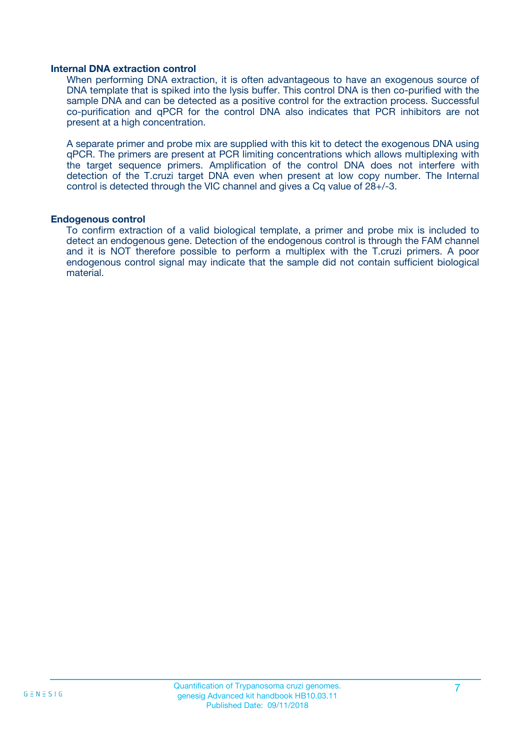#### **Internal DNA extraction control**

When performing DNA extraction, it is often advantageous to have an exogenous source of DNA template that is spiked into the lysis buffer. This control DNA is then co-purified with the sample DNA and can be detected as a positive control for the extraction process. Successful co-purification and qPCR for the control DNA also indicates that PCR inhibitors are not present at a high concentration.

A separate primer and probe mix are supplied with this kit to detect the exogenous DNA using qPCR. The primers are present at PCR limiting concentrations which allows multiplexing with the target sequence primers. Amplification of the control DNA does not interfere with detection of the T.cruzi target DNA even when present at low copy number. The Internal control is detected through the VIC channel and gives a Cq value of 28+/-3.

#### **Endogenous control**

To confirm extraction of a valid biological template, a primer and probe mix is included to detect an endogenous gene. Detection of the endogenous control is through the FAM channel and it is NOT therefore possible to perform a multiplex with the T.cruzi primers. A poor endogenous control signal may indicate that the sample did not contain sufficient biological material.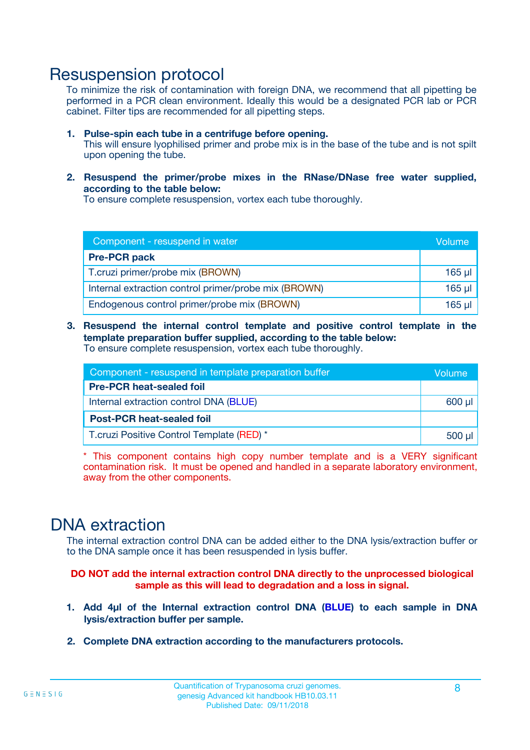### Resuspension protocol

To minimize the risk of contamination with foreign DNA, we recommend that all pipetting be performed in a PCR clean environment. Ideally this would be a designated PCR lab or PCR cabinet. Filter tips are recommended for all pipetting steps.

- **1. Pulse-spin each tube in a centrifuge before opening.** This will ensure lyophilised primer and probe mix is in the base of the tube and is not spilt upon opening the tube.
- **2. Resuspend the primer/probe mixes in the RNase/DNase free water supplied, according to the table below:**

To ensure complete resuspension, vortex each tube thoroughly.

| Component - resuspend in water                       |          |  |
|------------------------------------------------------|----------|--|
| <b>Pre-PCR pack</b>                                  |          |  |
| T.cruzi primer/probe mix (BROWN)                     | $165$ µl |  |
| Internal extraction control primer/probe mix (BROWN) | $165$ µl |  |
| Endogenous control primer/probe mix (BROWN)          | 165 µl   |  |

**3. Resuspend the internal control template and positive control template in the template preparation buffer supplied, according to the table below:** To ensure complete resuspension, vortex each tube thoroughly.

| Component - resuspend in template preparation buffer |          |  |  |
|------------------------------------------------------|----------|--|--|
| <b>Pre-PCR heat-sealed foil</b>                      |          |  |  |
| Internal extraction control DNA (BLUE)               |          |  |  |
| <b>Post-PCR heat-sealed foil</b>                     |          |  |  |
| T.cruzi Positive Control Template (RED) *            | $500$ µl |  |  |

\* This component contains high copy number template and is a VERY significant contamination risk. It must be opened and handled in a separate laboratory environment, away from the other components.

### DNA extraction

The internal extraction control DNA can be added either to the DNA lysis/extraction buffer or to the DNA sample once it has been resuspended in lysis buffer.

**DO NOT add the internal extraction control DNA directly to the unprocessed biological sample as this will lead to degradation and a loss in signal.**

- **1. Add 4µl of the Internal extraction control DNA (BLUE) to each sample in DNA lysis/extraction buffer per sample.**
- **2. Complete DNA extraction according to the manufacturers protocols.**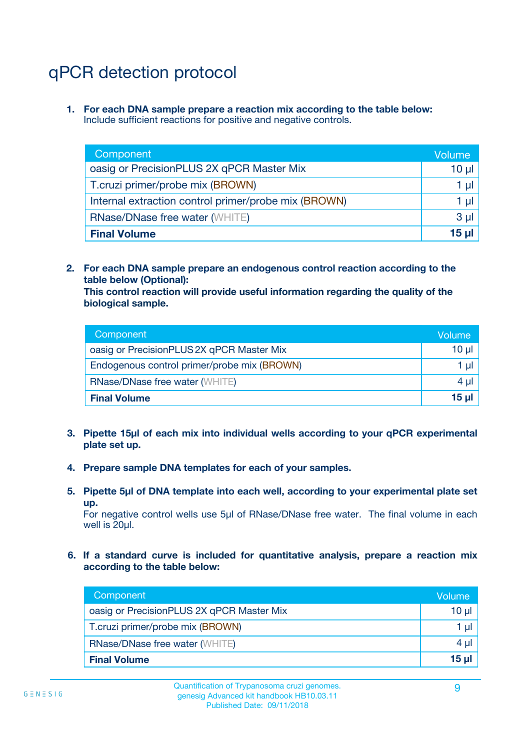## qPCR detection protocol

**1. For each DNA sample prepare a reaction mix according to the table below:** Include sufficient reactions for positive and negative controls.

| Component                                            | Volume   |
|------------------------------------------------------|----------|
| oasig or PrecisionPLUS 2X qPCR Master Mix            | 10 $\mu$ |
| T.cruzi primer/probe mix (BROWN)                     | 1 µI I   |
| Internal extraction control primer/probe mix (BROWN) | 1 µl     |
| <b>RNase/DNase free water (WHITE)</b>                | $3 \mu$  |
| <b>Final Volume</b>                                  | 15 µl    |

**2. For each DNA sample prepare an endogenous control reaction according to the table below (Optional):**

**This control reaction will provide useful information regarding the quality of the biological sample.**

| Component                                   | Volume          |
|---------------------------------------------|-----------------|
| oasig or PrecisionPLUS 2X qPCR Master Mix   | $10 \mu$        |
| Endogenous control primer/probe mix (BROWN) | 1 µI            |
| <b>RNase/DNase free water (WHITE)</b>       | 4 µl            |
| <b>Final Volume</b>                         | 15 <sub>µ</sub> |

- **3. Pipette 15µl of each mix into individual wells according to your qPCR experimental plate set up.**
- **4. Prepare sample DNA templates for each of your samples.**
- **5. Pipette 5µl of DNA template into each well, according to your experimental plate set up.**

For negative control wells use 5µl of RNase/DNase free water. The final volume in each well is 20ul.

**6. If a standard curve is included for quantitative analysis, prepare a reaction mix according to the table below:**

| Component                                 | Volume   |
|-------------------------------------------|----------|
| oasig or PrecisionPLUS 2X qPCR Master Mix | 10 µl    |
| T.cruzi primer/probe mix (BROWN)          | 1 µI     |
| <b>RNase/DNase free water (WHITE)</b>     | $4 \mu$  |
| <b>Final Volume</b>                       | $15 \mu$ |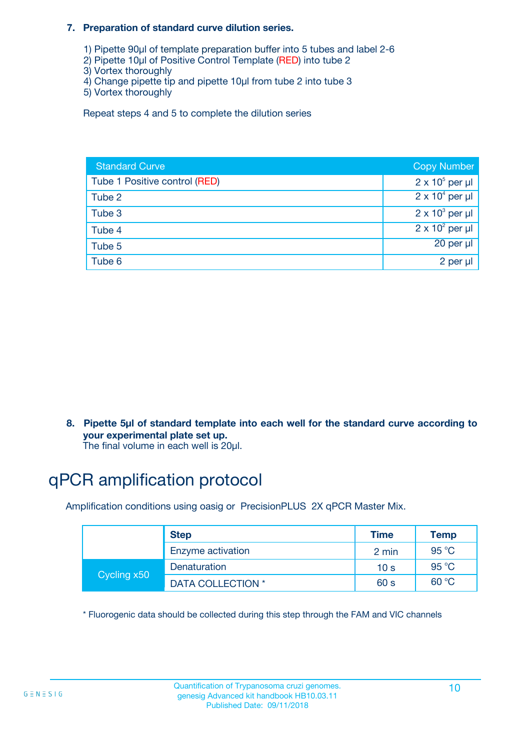#### **7. Preparation of standard curve dilution series.**

- 1) Pipette 90µl of template preparation buffer into 5 tubes and label 2-6
- 2) Pipette 10µl of Positive Control Template (RED) into tube 2
- 3) Vortex thoroughly
- 4) Change pipette tip and pipette 10µl from tube 2 into tube 3
- 5) Vortex thoroughly

Repeat steps 4 and 5 to complete the dilution series

| <b>Standard Curve</b>         | <b>Copy Number</b>     |
|-------------------------------|------------------------|
| Tube 1 Positive control (RED) | $2 \times 10^5$ per µl |
| Tube 2                        | $2 \times 10^4$ per µl |
| Tube 3                        | $2 \times 10^3$ per µl |
| Tube 4                        | $2 \times 10^2$ per µl |
| Tube 5                        | 20 per µl              |
| Tube 6                        | 2 per µl               |

**8. Pipette 5µl of standard template into each well for the standard curve according to your experimental plate set up.**

#### The final volume in each well is 20µl.

## qPCR amplification protocol

Amplification conditions using oasig or PrecisionPLUS 2X qPCR Master Mix.

|             | <b>Step</b>       | <b>Time</b>     | Temp    |
|-------------|-------------------|-----------------|---------|
|             | Enzyme activation | 2 min           | 95 °C   |
| Cycling x50 | Denaturation      | 10 <sub>s</sub> | 95 $°C$ |
|             | DATA COLLECTION * | 60 s            | 60 °C   |

\* Fluorogenic data should be collected during this step through the FAM and VIC channels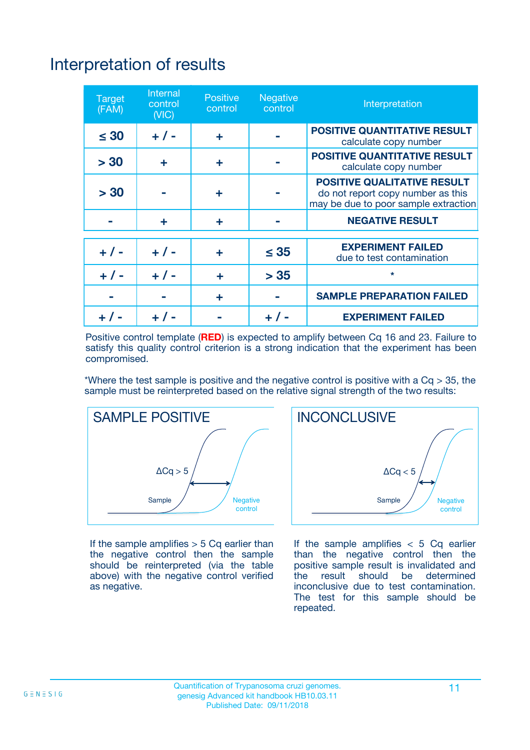## Interpretation of results

| <b>Target</b><br>(FAM) | <b>Internal</b><br>control<br>(NIC) | <b>Positive</b><br>control | <b>Negative</b><br>control | Interpretation                                                                                                  |
|------------------------|-------------------------------------|----------------------------|----------------------------|-----------------------------------------------------------------------------------------------------------------|
| $\leq 30$              | $+ 1 -$                             | ÷                          |                            | <b>POSITIVE QUANTITATIVE RESULT</b><br>calculate copy number                                                    |
| > 30                   | ٠                                   | ÷                          |                            | <b>POSITIVE QUANTITATIVE RESULT</b><br>calculate copy number                                                    |
| > 30                   |                                     | ÷                          |                            | <b>POSITIVE QUALITATIVE RESULT</b><br>do not report copy number as this<br>may be due to poor sample extraction |
|                        | ÷                                   | ÷                          |                            | <b>NEGATIVE RESULT</b>                                                                                          |
| $+ 1 -$                | $+ 1 -$                             | ÷                          | $\leq$ 35                  | <b>EXPERIMENT FAILED</b><br>due to test contamination                                                           |
| $+$ / -                | $+ 1 -$                             | ÷                          | > 35                       | $\star$                                                                                                         |
|                        |                                     | ÷                          |                            | <b>SAMPLE PREPARATION FAILED</b>                                                                                |
|                        |                                     |                            | $+$ /                      | <b>EXPERIMENT FAILED</b>                                                                                        |

Positive control template (**RED**) is expected to amplify between Cq 16 and 23. Failure to satisfy this quality control criterion is a strong indication that the experiment has been compromised.

\*Where the test sample is positive and the negative control is positive with a  $Ca > 35$ , the sample must be reinterpreted based on the relative signal strength of the two results:



If the sample amplifies  $> 5$  Cq earlier than the negative control then the sample should be reinterpreted (via the table above) with the negative control verified as negative.



If the sample amplifies  $< 5$  Cq earlier than the negative control then the positive sample result is invalidated and<br>the result should be determined  $the$  result should be inconclusive due to test contamination. The test for this sample should be repeated.